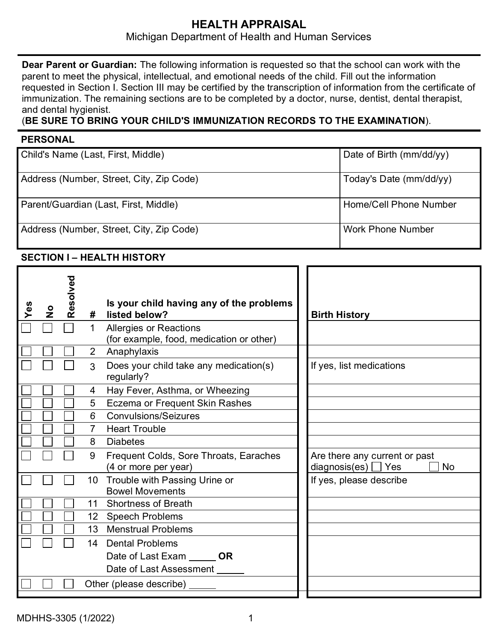# **HEALTH APPRAISAL** Michigan Department of Health and Human Services

**Dear Parent or Guardian:** The following information is requested so that the school can work with the parent to meet the physical, intellectual, and emotional needs of the child. Fill out the information requested in Section I. Section III may be certified by the transcription of information from the certificate of immunization. The remaining sections are to be completed by a doctor, nurse, dentist, dental therapist, and dental hygienist.

# (**BE SURE TO BRING YOUR CHILD'S IMMUNIZATION RECORDS TO THE EXAMINATION**).

## **PERSONAL**

| Child's Name (Last, First, Middle)       | Date of Birth (mm/dd/yy) |
|------------------------------------------|--------------------------|
| Address (Number, Street, City, Zip Code) | Today's Date (mm/dd/yy)  |
| Parent/Guardian (Last, First, Middle)    | Home/Cell Phone Number   |
| Address (Number, Street, City, Zip Code) | <b>Work Phone Number</b> |

# **SECTION I – HEALTH HISTORY**

| Yes | $\frac{1}{2}$ | Resolved | #<br>1          | Is your child having any of the problems<br>listed below?<br><b>Allergies or Reactions</b><br>(for example, food, medication or other) | <b>Birth History</b>                                                   |
|-----|---------------|----------|-----------------|----------------------------------------------------------------------------------------------------------------------------------------|------------------------------------------------------------------------|
|     |               |          | $\overline{2}$  | Anaphylaxis                                                                                                                            |                                                                        |
|     |               |          | 3               | Does your child take any medication(s)<br>regularly?                                                                                   | If yes, list medications                                               |
|     |               |          | 4               | Hay Fever, Asthma, or Wheezing                                                                                                         |                                                                        |
|     |               |          | 5               | Eczema or Frequent Skin Rashes                                                                                                         |                                                                        |
|     |               |          | 6               | <b>Convulsions/Seizures</b>                                                                                                            |                                                                        |
|     |               |          | $\overline{7}$  | <b>Heart Trouble</b>                                                                                                                   |                                                                        |
|     |               |          | 8               | <b>Diabetes</b>                                                                                                                        |                                                                        |
|     |               |          | 9               | Frequent Colds, Sore Throats, Earaches<br>(4 or more per year)                                                                         | Are there any current or past<br>diagnosis(es) $\Box$ Yes<br><b>No</b> |
|     |               |          | 10 <sup>1</sup> | Trouble with Passing Urine or<br><b>Bowel Movements</b>                                                                                | If yes, please describe                                                |
|     |               |          | 11              | <b>Shortness of Breath</b>                                                                                                             |                                                                        |
|     |               |          |                 | 12 Speech Problems                                                                                                                     |                                                                        |
|     |               |          |                 | 13 Menstrual Problems                                                                                                                  |                                                                        |
|     |               |          |                 | 14 Dental Problems                                                                                                                     |                                                                        |
|     |               |          |                 | Date of Last Exam OR                                                                                                                   |                                                                        |
|     |               |          |                 | Date of Last Assessment                                                                                                                |                                                                        |
|     |               |          |                 | Other (please describe)                                                                                                                |                                                                        |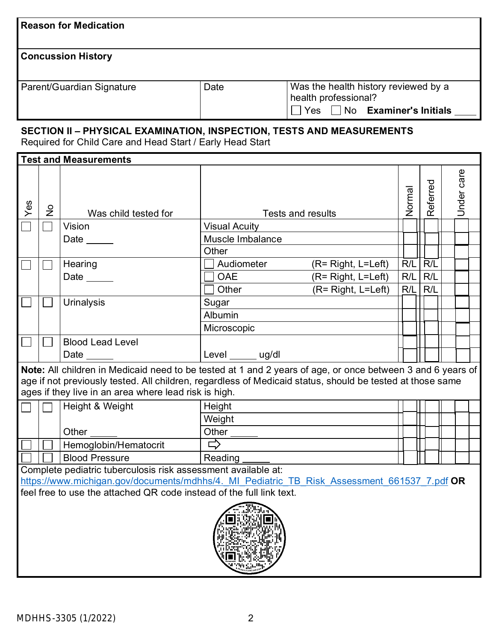| <b>Reason for Medication</b>                                                                                                                                                                                                                                                     |                                                                                                                                    |                                                                                             |                                  |                          |        |              |  |            |  |
|----------------------------------------------------------------------------------------------------------------------------------------------------------------------------------------------------------------------------------------------------------------------------------|------------------------------------------------------------------------------------------------------------------------------------|---------------------------------------------------------------------------------------------|----------------------------------|--------------------------|--------|--------------|--|------------|--|
| <b>Concussion History</b>                                                                                                                                                                                                                                                        |                                                                                                                                    |                                                                                             |                                  |                          |        |              |  |            |  |
|                                                                                                                                                                                                                                                                                  | Was the health history reviewed by a<br>Parent/Guardian Signature<br>Date<br>health professional?                                  |                                                                                             |                                  |                          |        |              |  |            |  |
|                                                                                                                                                                                                                                                                                  | $\Box$ Yes $\Box$ No <b>Examiner's Initials</b>                                                                                    |                                                                                             |                                  |                          |        |              |  |            |  |
|                                                                                                                                                                                                                                                                                  | SECTION II - PHYSICAL EXAMINATION, INSPECTION, TESTS AND MEASUREMENTS<br>Required for Child Care and Head Start / Early Head Start |                                                                                             |                                  |                          |        |              |  |            |  |
|                                                                                                                                                                                                                                                                                  |                                                                                                                                    | <b>Test and Measurements</b>                                                                |                                  |                          |        |              |  |            |  |
| Yes                                                                                                                                                                                                                                                                              | $\frac{1}{2}$                                                                                                                      | Was child tested for                                                                        |                                  | <b>Tests and results</b> | Normal | eferred<br>œ |  | Under care |  |
|                                                                                                                                                                                                                                                                                  |                                                                                                                                    | Vision                                                                                      | <b>Visual Acuity</b>             |                          |        |              |  |            |  |
|                                                                                                                                                                                                                                                                                  |                                                                                                                                    | Date $\_\_$                                                                                 | Muscle Imbalance                 |                          |        |              |  |            |  |
|                                                                                                                                                                                                                                                                                  |                                                                                                                                    |                                                                                             | Other                            |                          |        |              |  |            |  |
|                                                                                                                                                                                                                                                                                  |                                                                                                                                    | Hearing                                                                                     | Audiometer                       | $(R = Right, L = Left)$  | R/L    | R/L          |  |            |  |
|                                                                                                                                                                                                                                                                                  |                                                                                                                                    | Date $\_\_\_\_\_\_\$                                                                        | <b>OAE</b><br>(R= Right, L=Left) |                          |        | R/L          |  |            |  |
|                                                                                                                                                                                                                                                                                  |                                                                                                                                    |                                                                                             | Other                            | (R= Right, L=Left)       | R/L    | R/L          |  |            |  |
|                                                                                                                                                                                                                                                                                  |                                                                                                                                    | <b>Urinalysis</b>                                                                           | Sugar                            |                          |        |              |  |            |  |
|                                                                                                                                                                                                                                                                                  |                                                                                                                                    |                                                                                             | Albumin                          |                          |        |              |  |            |  |
|                                                                                                                                                                                                                                                                                  |                                                                                                                                    |                                                                                             | Microscopic                      |                          |        |              |  |            |  |
|                                                                                                                                                                                                                                                                                  |                                                                                                                                    | <b>Blood Lead Level</b>                                                                     |                                  |                          |        |              |  |            |  |
|                                                                                                                                                                                                                                                                                  |                                                                                                                                    |                                                                                             | Level ______ ug/dl               |                          |        |              |  |            |  |
| Note: All children in Medicaid need to be tested at 1 and 2 years of age, or once between 3 and 6 years of<br>age if not previously tested. All children, regardless of Medicaid status, should be tested at those same<br>ages if they live in an area where lead risk is high. |                                                                                                                                    |                                                                                             |                                  |                          |        |              |  |            |  |
|                                                                                                                                                                                                                                                                                  |                                                                                                                                    | Height & Weight                                                                             | Height                           |                          |        |              |  |            |  |
|                                                                                                                                                                                                                                                                                  |                                                                                                                                    |                                                                                             | Weight                           |                          |        |              |  |            |  |
|                                                                                                                                                                                                                                                                                  |                                                                                                                                    | Other                                                                                       | Other<br>□                       |                          |        |              |  |            |  |
|                                                                                                                                                                                                                                                                                  |                                                                                                                                    | Hemoglobin/Hematocrit                                                                       |                                  |                          |        |              |  |            |  |
|                                                                                                                                                                                                                                                                                  |                                                                                                                                    | <b>Blood Pressure</b><br>Complete pediatric tuberculosis risk assessment available at:      | Reading                          |                          |        |              |  |            |  |
|                                                                                                                                                                                                                                                                                  |                                                                                                                                    | https://www.michigan.gov/documents/mdhhs/4. MI Pediatric TB Risk Assessment 661537 7.pdf OR |                                  |                          |        |              |  |            |  |
|                                                                                                                                                                                                                                                                                  |                                                                                                                                    | feel free to use the attached QR code instead of the full link text.                        |                                  |                          |        |              |  |            |  |
|                                                                                                                                                                                                                                                                                  |                                                                                                                                    |                                                                                             |                                  |                          |        |              |  |            |  |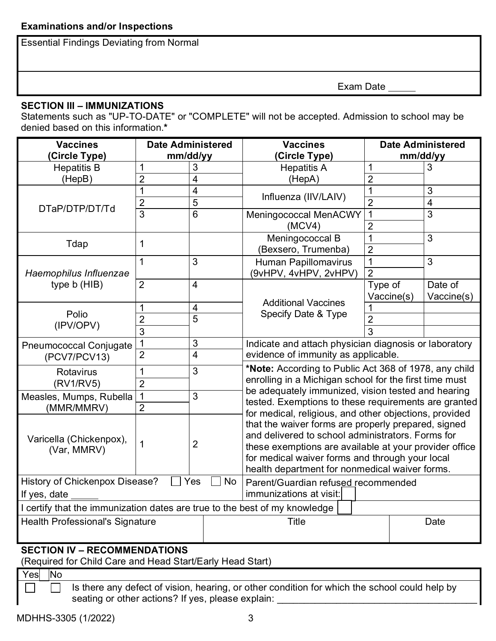Essential Findings Deviating from Normal

Exam Date

## **SECTION III – IMMUNIZATIONS**

Statements such as "UP-TO-DATE" or "COMPLETE" will not be accepted. Admission to school may be denied based on this information.**\***

| <b>Vaccines</b>                                                            | <b>Date Administered</b> |                | <b>Vaccines</b>                                                                                                                                                                                                                | <b>Date Administered</b> |                |  |  |
|----------------------------------------------------------------------------|--------------------------|----------------|--------------------------------------------------------------------------------------------------------------------------------------------------------------------------------------------------------------------------------|--------------------------|----------------|--|--|
| (Circle Type)                                                              | mm/dd/yy                 |                | (Circle Type)                                                                                                                                                                                                                  | mm/dd/yy                 |                |  |  |
| <b>Hepatitis B</b>                                                         | 1                        | 3              | <b>Hepatitis A</b>                                                                                                                                                                                                             | 1                        | 3              |  |  |
| (HepB)<br>2<br>$\overline{4}$                                              |                          | (HepA)         | $\overline{2}$                                                                                                                                                                                                                 |                          |                |  |  |
|                                                                            | 1                        | $\overline{4}$ | Influenza (IIV/LAIV)                                                                                                                                                                                                           | $\overline{1}$           | 3              |  |  |
| DTaP/DTP/DT/Td                                                             | $\overline{2}$           | 5              |                                                                                                                                                                                                                                | $\overline{2}$           | $\overline{4}$ |  |  |
|                                                                            | $\overline{3}$           | $\overline{6}$ | Meningococcal MenACWY                                                                                                                                                                                                          | $\mathbf{1}$             | $\overline{3}$ |  |  |
|                                                                            |                          |                | (MCV4)                                                                                                                                                                                                                         | $\overline{2}$           |                |  |  |
| Tdap                                                                       | 1                        |                | Meningococcal B                                                                                                                                                                                                                | 1                        | 3              |  |  |
|                                                                            |                          |                | (Bexsero, Trumenba)                                                                                                                                                                                                            | $\overline{2}$           |                |  |  |
|                                                                            | 1                        | 3              | Human Papillomavirus                                                                                                                                                                                                           | 1                        | 3              |  |  |
| Haemophilus Influenzae                                                     |                          |                | (9vHPV, 4vHPV, 2vHPV)                                                                                                                                                                                                          | $\overline{2}$           |                |  |  |
| type b (HIB)                                                               | $\overline{2}$           | $\overline{4}$ |                                                                                                                                                                                                                                | Type of                  | Date of        |  |  |
|                                                                            |                          |                | <b>Additional Vaccines</b>                                                                                                                                                                                                     | Vaccine(s)               | Vaccine(s)     |  |  |
| Polio                                                                      | 1                        | 4              |                                                                                                                                                                                                                                |                          |                |  |  |
|                                                                            | $\overline{2}$           | $\overline{5}$ | Specify Date & Type                                                                                                                                                                                                            | $\overline{2}$           |                |  |  |
| (IPV/OPV)                                                                  | 3                        |                |                                                                                                                                                                                                                                | 3                        |                |  |  |
| <b>Pneumococcal Conjugate</b>                                              | 1                        | 3              | Indicate and attach physician diagnosis or laboratory<br>evidence of immunity as applicable.                                                                                                                                   |                          |                |  |  |
| (PCV7/PCV13)                                                               | $\overline{2}$           | $\overline{4}$ |                                                                                                                                                                                                                                |                          |                |  |  |
| Rotavirus                                                                  | 1                        | 3              | *Note: According to Public Act 368 of 1978, any child                                                                                                                                                                          |                          |                |  |  |
| (RV1/RV5)                                                                  | $\overline{2}$           |                | enrolling in a Michigan school for the first time must<br>be adequately immunized, vision tested and hearing<br>tested. Exemptions to these requirements are granted<br>for medical, religious, and other objections, provided |                          |                |  |  |
| Measles, Mumps, Rubella                                                    | 1                        | 3              |                                                                                                                                                                                                                                |                          |                |  |  |
| (MMR/MMRV)                                                                 | $\overline{2}$           |                |                                                                                                                                                                                                                                |                          |                |  |  |
|                                                                            |                          |                |                                                                                                                                                                                                                                |                          |                |  |  |
|                                                                            |                          |                | that the waiver forms are properly prepared, signed                                                                                                                                                                            |                          |                |  |  |
| Varicella (Chickenpox),                                                    |                          |                | and delivered to school administrators. Forms for                                                                                                                                                                              |                          |                |  |  |
| (Var, MMRV)                                                                | 1                        | $\overline{2}$ | these exemptions are available at your provider office                                                                                                                                                                         |                          |                |  |  |
|                                                                            |                          |                | for medical waiver forms and through your local                                                                                                                                                                                |                          |                |  |  |
|                                                                            |                          |                | health department for nonmedical waiver forms.                                                                                                                                                                                 |                          |                |  |  |
| History of Chickenpox Disease?                                             |                          | Yes<br>No      | Parent/Guardian refused recommended                                                                                                                                                                                            |                          |                |  |  |
| immunizations at visit:<br>If yes, date                                    |                          |                |                                                                                                                                                                                                                                |                          |                |  |  |
| I certify that the immunization dates are true to the best of my knowledge |                          |                |                                                                                                                                                                                                                                |                          |                |  |  |
| <b>Health Professional's Signature</b>                                     |                          |                | <b>Title</b><br><b>Date</b>                                                                                                                                                                                                    |                          |                |  |  |
|                                                                            |                          |                |                                                                                                                                                                                                                                |                          |                |  |  |
|                                                                            |                          |                |                                                                                                                                                                                                                                |                          |                |  |  |

# **SECTION IV – RECOMMENDATIONS**

(Required for Child Care and Head Start/Early Head Start)

Yes<sup>No</sup>

 $\Box$ 

Is there any defect of vision, hearing, or other condition for which the school could help by  $\Box$ seating or other actions? If yes, please explain: \_\_\_\_